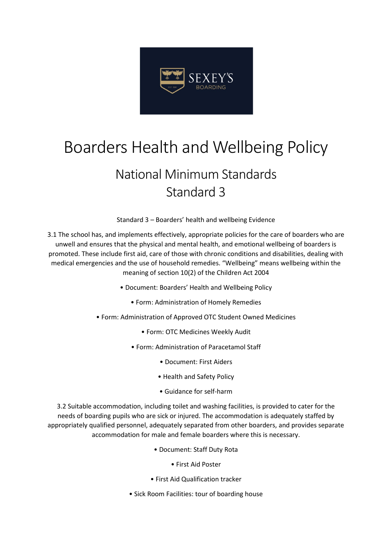

## Boarders Health and Wellbeing Policy

## National Minimum Standards Standard 3

Standard 3 – Boarders' health and wellbeing Evidence

3.1 The school has, and implements effectively, appropriate policies for the care of boarders who are unwell and ensures that the physical and mental health, and emotional wellbeing of boarders is promoted. These include first aid, care of those with chronic conditions and disabilities, dealing with medical emergencies and the use of household remedies. "Wellbeing" means wellbeing within the meaning of section 10(2) of the Children Act 2004

- Document: Boarders' Health and Wellbeing Policy
	- Form: Administration of Homely Remedies
- Form: Administration of Approved OTC Student Owned Medicines
	- Form: OTC Medicines Weekly Audit
	- Form: Administration of Paracetamol Staff
		- Document: First Aiders
		- Health and Safety Policy
		- Guidance for self-harm

3.2 Suitable accommodation, including toilet and washing facilities, is provided to cater for the needs of boarding pupils who are sick or injured. The accommodation is adequately staffed by appropriately qualified personnel, adequately separated from other boarders, and provides separate accommodation for male and female boarders where this is necessary.

- Document: Staff Duty Rota
	- First Aid Poster
- First Aid Qualification tracker
- Sick Room Facilities: tour of boarding house